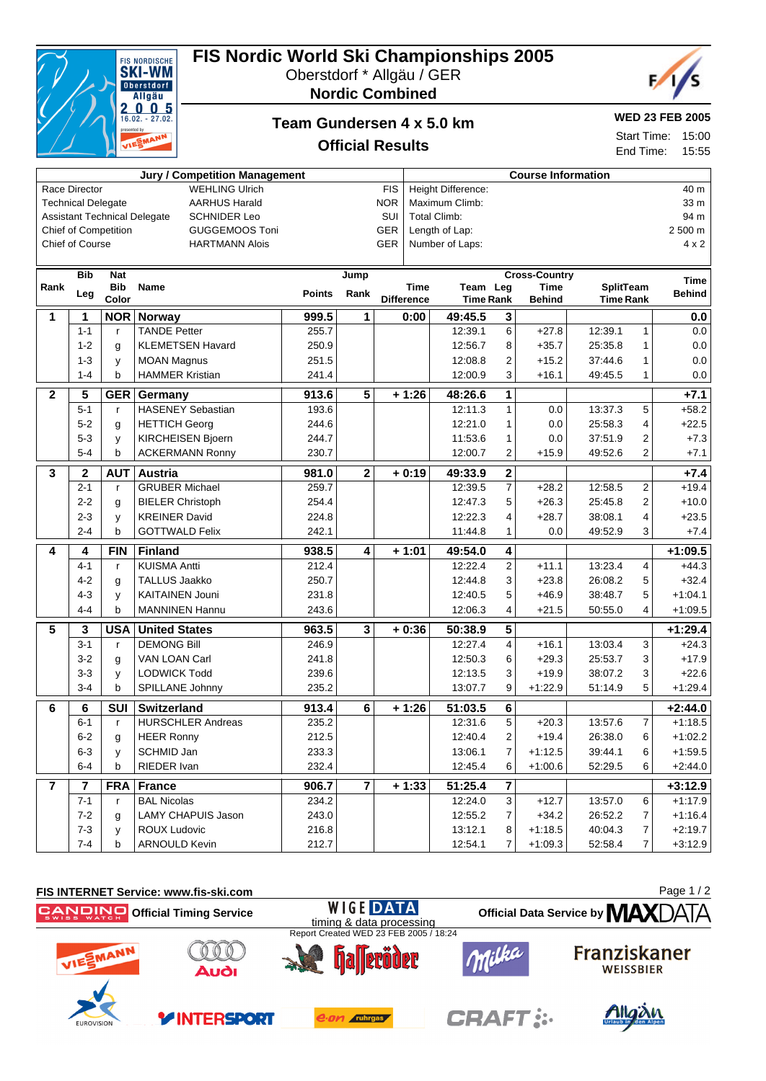| VIESMANN<br>Start Time:<br><b>Official Results</b><br>End Time: |                 |                      |                          |               |                         |                           |                    | <b>UU.CI</b><br>15:55        |                         |                       |                                      |                |               |
|-----------------------------------------------------------------|-----------------|----------------------|--------------------------|---------------|-------------------------|---------------------------|--------------------|------------------------------|-------------------------|-----------------------|--------------------------------------|----------------|---------------|
| Jury / Competition Management                                   |                 |                      |                          |               |                         | <b>Course Information</b> |                    |                              |                         |                       |                                      |                |               |
| <b>WEHLING Ulrich</b><br>Race Director                          |                 |                      |                          |               | <b>FIS</b>              |                           | Height Difference: |                              |                         |                       |                                      | 40 m           |               |
| <b>AARHUS Harald</b><br><b>Technical Delegate</b>               |                 |                      |                          |               | <b>NOR</b>              |                           | Maximum Climb:     |                              |                         |                       |                                      | 33 m           |               |
| <b>Assistant Technical Delegate</b><br><b>SCHNIDER Leo</b>      |                 |                      |                          |               | SUI                     | <b>Total Climb:</b>       |                    |                              |                         |                       |                                      | 94 m           |               |
|                                                                 |                 | Chief of Competition | <b>GUGGEMOOS Toni</b>    |               |                         | <b>GER</b>                |                    | Length of Lap:               |                         |                       |                                      |                | 2 500 m       |
|                                                                 | Chief of Course |                      | <b>HARTMANN Alois</b>    |               |                         | <b>GER</b>                |                    | Number of Laps:              |                         |                       |                                      |                | $4 \times 2$  |
|                                                                 | <b>Bib</b>      | <b>Nat</b>           |                          |               | Jump                    |                           |                    |                              |                         | <b>Cross-Country</b>  |                                      |                | <b>Time</b>   |
| Rank                                                            | Leg             | <b>Bib</b><br>Color  | <b>Name</b>              | <b>Points</b> | Rank                    | <b>Difference</b>         | <b>Time</b>        | Team Leg<br><b>Time Rank</b> |                         | Time<br><b>Behind</b> | <b>SplitTeam</b><br><b>Time Rank</b> |                | <b>Behind</b> |
| 1                                                               | 1               | <b>NOR</b>           | <b>Norway</b>            | 999.5         | 1                       |                           | 0:00               | 49:45.5                      | 3                       |                       |                                      |                | 0.0           |
|                                                                 | $1 - 1$         | $\mathsf{r}$         | <b>TANDE Petter</b>      | 255.7         |                         |                           |                    | 12:39.1                      | 6                       | $+27.8$               | 12:39.1                              | 1              | 0.0           |
|                                                                 | $1 - 2$         | g                    | <b>KLEMETSEN Havard</b>  | 250.9         |                         |                           |                    | 12:56.7                      | 8                       | $+35.7$               | 25:35.8                              | 1              | 0.0           |
|                                                                 | $1 - 3$         | y                    | <b>MOAN Magnus</b>       | 251.5         |                         |                           |                    | 12:08.8                      | $\mathbf{2}$            | $+15.2$               | 37:44.6                              | $\mathbf{1}$   | 0.0           |
|                                                                 | $1 - 4$         | b                    | <b>HAMMER Kristian</b>   | 241.4         |                         |                           |                    | 12:00.9                      | 3                       | $+16.1$               | 49:45.5                              | 1              | 0.0           |
| $\boldsymbol{2}$                                                | 5               | <b>GER</b>           | Germany                  | 913.6         | $\overline{5}$          |                           | $+1:26$            | 48:26.6                      | $\overline{1}$          |                       |                                      |                | $+7.1$        |
|                                                                 | $5 - 1$         | $\mathsf{r}$         | <b>HASENEY Sebastian</b> | 193.6         |                         |                           |                    | 12:11.3                      | $\mathbf{1}$            | 0.0                   | 13:37.3                              | 5              | $+58.2$       |
|                                                                 | $5 - 2$         | g                    | <b>HETTICH Georg</b>     | 244.6         |                         |                           |                    | 12:21.0                      | 1                       | 0.0                   | 25:58.3                              | 4              | $+22.5$       |
|                                                                 | $5 - 3$         | y                    | <b>KIRCHEISEN Bjoern</b> | 244.7         |                         |                           |                    | 11:53.6                      | 1                       | 0.0                   | 37:51.9                              | 2              | $+7.3$        |
|                                                                 | $5 - 4$         | b                    | <b>ACKERMANN Ronny</b>   | 230.7         |                         |                           |                    | 12:00.7                      | 2                       | $+15.9$               | 49.52.6                              | $\overline{2}$ | $+7.1$        |
| 3                                                               | $\mathbf 2$     | <b>AUT</b>           | <b>Austria</b>           | 981.0         | $\overline{2}$          |                           | $+0:19$            | 49:33.9                      | $\overline{2}$          |                       |                                      |                | $+7.4$        |
|                                                                 | $2 - 1$         | $\mathsf{r}$         | <b>GRUBER Michael</b>    | 259.7         |                         |                           |                    | 12:39.5                      | $\overline{7}$          | $+28.2$               | 12:58.5                              | 2              | $+19.4$       |
|                                                                 | $2 - 2$         | g                    | <b>BIELER Christoph</b>  | 254.4         |                         |                           |                    | 12:47.3                      | 5                       | $+26.3$               | 25:45.8                              | 2              | $+10.0$       |
|                                                                 | $2 - 3$         | y                    | <b>KREINER David</b>     | 224.8         |                         |                           |                    | 12:22.3                      | 4                       | $+28.7$               | 38:08.1                              | 4              | $+23.5$       |
|                                                                 | $2 - 4$         | b                    | <b>GOTTWALD Felix</b>    | 242.1         |                         |                           |                    | 11:44.8                      | 1                       | 0.0                   | 49:52.9                              | 3              | $+7.4$        |
| 4                                                               | 4               | <b>FIN</b>           | <b>Finland</b>           | 938.5         | 4                       |                           | $+1:01$            | 49:54.0                      | $\overline{4}$          |                       |                                      |                | $+1:09.5$     |
|                                                                 | $4 - 1$         | $\mathsf{r}$         | <b>KUISMA Antti</b>      | 212.4         |                         |                           |                    | 12:22.4                      | $\overline{2}$          | $+11.1$               | 13:23.4                              | 4              | $+44.3$       |
|                                                                 | $4 - 2$         | g                    | <b>TALLUS Jaakko</b>     | 250.7         |                         |                           |                    | 12:44.8                      | 3                       | $+23.8$               | 26:08.2                              | 5              | $+32.4$       |
|                                                                 | $4 - 3$         | y                    | <b>KAITAINEN Jouni</b>   | 231.8         |                         |                           |                    | 12:40.5                      | 5                       | $+46.9$               | 38:48.7                              | 5              | $+1:04.1$     |
|                                                                 | $4 - 4$         | b                    | <b>MANNINEN Hannu</b>    | 243.6         |                         |                           |                    | 12:06.3                      | 4                       | $+21.5$               | 50:55.0                              | 4              | $+1:09.5$     |
| 5                                                               | 3               | <b>USA</b>           | <b>United States</b>     | 963.5         | $\overline{\mathbf{3}}$ |                           | $+0:36$            | 50:38.9                      | $\overline{5}$          |                       |                                      |                | $+1:29.4$     |
|                                                                 | $3 - 1$         | $\mathsf{r}$         | <b>DEMONG Bill</b>       | 246.9         |                         |                           |                    | 12:27.4                      | $\overline{\mathbf{4}}$ | $+16.1$               | 13:03.4                              | 3              | $+24.3$       |
|                                                                 | $3 - 2$         | g                    | VAN LOAN Carl            | 241.8         |                         |                           |                    | 12:50.3                      | 6                       | $+29.3$               | 25:53.7                              | 3              | $+17.9$       |
|                                                                 | $3 - 3$         | у                    | <b>LODWICK Todd</b>      | 239.6         |                         |                           |                    | 12:13.5                      | 3                       | $+19.9$               | 38:07.2                              | 3              | $+22.6$       |
|                                                                 | $3 - 4$         | b                    | SPILLANE Johnny          | 235.2         |                         |                           |                    | 13:07.7                      | 9                       | $+1:22.9$             | 51:14.9                              | 5              | $+1.29.4$     |
| 6                                                               | 6               | <b>SUI</b>           | Switzerland              | 913.4         | 6                       |                           | $+1:26$            | 51:03.5                      | $\overline{6}$          |                       |                                      |                | $+2:44.0$     |
|                                                                 | $6 - 1$         | r                    | <b>HURSCHLER Andreas</b> | 235.2         |                         |                           |                    | 12:31.6                      | 5 <sup>5</sup>          | $+20.3$               | 13:57.6                              | 7              | $+1:18.5$     |
|                                                                 | $6 - 2$         | g                    | <b>HEER Ronny</b>        | 212.5         |                         |                           |                    | 12:40.4                      | $\overline{c}$          | $+19.4$               | 26:38.0                              | 6              | $+1:02.2$     |
|                                                                 | $6 - 3$         | y                    | SCHMID Jan               | 233.3         |                         |                           |                    | 13:06.1                      | $\boldsymbol{7}$        | $+1:12.5$             | 39:44.1                              | 6              | $+1:59.5$     |
|                                                                 | $6 - 4$         | b                    | RIEDER Ivan              | 232.4         |                         |                           |                    | 12:45.4                      | 6                       | $+1:00.6$             | 52:29.5                              | 6              | $+2:44.0$     |
| 7                                                               | 7               | <b>FRA</b>           | <b>France</b>            | 906.7         | 7                       |                           | $+1:33$            | 51:25.4                      | 7                       |                       |                                      |                | $+3:12.9$     |
|                                                                 | $7 - 1$         | r                    | <b>BAL Nicolas</b>       | 234.2         |                         |                           |                    | 12:24.0                      | 3 <sup>1</sup>          | $+12.7$               | 13:57.0                              | 6              | $+1:17.9$     |
|                                                                 | $7 - 2$         | g                    | LAMY CHAPUIS Jason       | 243.0         |                         |                           |                    | 12:55.2                      | 7 <sup>1</sup>          | $+34.2$               | 26:52.2                              | 7              | +1:16.4       |
|                                                                 | $7 - 3$         | У                    | <b>ROUX Ludovic</b>      | 216.8         |                         |                           |                    | 13:12.1                      | 8                       | $+1:18.5$             | 40:04.3                              | 7              | $+2:19.7$     |
|                                                                 | $7 - 4$         | b                    | ARNOULD Kevin            | 212.7         |                         |                           |                    | 12:54.1                      | $\overline{7}$          | $+1:09.3$             | 52:58.4                              | 7              | $+3:12.9$     |





## **FIS Nordic World Ski Championships 2005**

**Team Gundersen 4 x 5.0 km**

Oberstdorf \* Allgäu / GER **Nordic Combined**



**WED 23 FEB 2005**

Start Time: 15:00